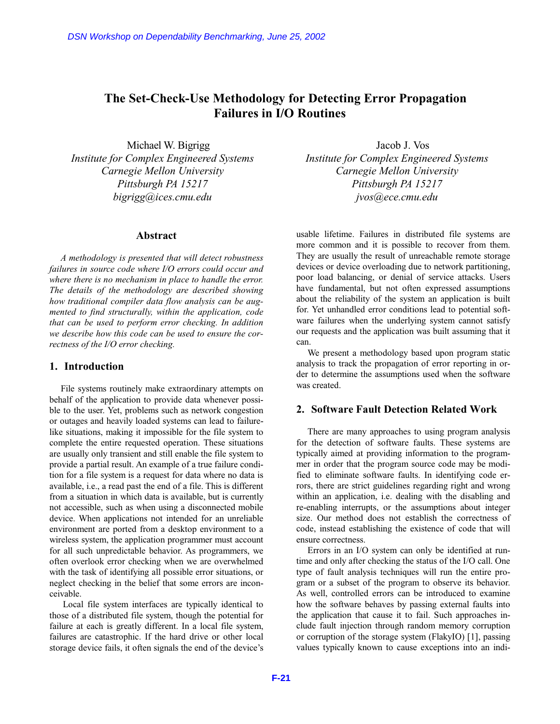# **The Set-Check-Use Methodology for Detecting Error Propagation Failures in I/O Routines**

Michael W. Bigrigg *Institute for Complex Engineered Systems Carnegie Mellon University Pittsburgh PA 15217 bigrigg@ices.cmu.edu*

# **Abstract**

*A methodology is presented that will detect robustness failures in source code where I/O errors could occur and where there is no mechanism in place to handle the error. The details of the methodology are described showing how traditional compiler data flow analysis can be augmented to find structurally, within the application, code that can be used to perform error checking. In addition we describe how this code can be used to ensure the correctness of the I/O error checking.*

# **1. Introduction**

File systems routinely make extraordinary attempts on behalf of the application to provide data whenever possible to the user. Yet, problems such as network congestion or outages and heavily loaded systems can lead to failurelike situations, making it impossible for the file system to complete the entire requested operation. These situations are usually only transient and still enable the file system to provide a partial result. An example of a true failure condition for a file system is a request for data where no data is available, i.e., a read past the end of a file. This is different from a situation in which data is available, but is currently not accessible, such as when using a disconnected mobile device. When applications not intended for an unreliable environment are ported from a desktop environment to a wireless system, the application programmer must account for all such unpredictable behavior. As programmers, we often overlook error checking when we are overwhelmed with the task of identifying all possible error situations, or neglect checking in the belief that some errors are inconceivable. DSN Workshop on Dependability Benchmarking, June 25, 2002<br> **F-1 F-21** Christian External Controllers in I/O Rout<br>
Michael W. Bigrigg<br>
Institute for Complex Engineered Systems<br> *Carregie Mellon University*<br> *F-121*<br> *Ext* 

Local file system interfaces are typically identical to those of a distributed file system, though the potential for failure at each is greatly different. In a local file system, failures are catastrophic. If the hard drive or other local storage device fails, it often signals the end of the device's

Jacob J. Vos *Institute for Complex Engineered Systems Carnegie Mellon University Pittsburgh PA 15217 jvos@ece.cmu.edu*

usable lifetime. Failures in distributed file systems are more common and it is possible to recover from them. They are usually the result of unreachable remote storage devices or device overloading due to network partitioning, poor load balancing, or denial of service attacks. Users have fundamental, but not often expressed assumptions about the reliability of the system an application is built for. Yet unhandled error conditions lead to potential software failures when the underlying system cannot satisfy our requests and the application was built assuming that it can.

We present a methodology based upon program static analysis to track the propagation of error reporting in order to determine the assumptions used when the software was created.

# **2. Software Fault Detection Related Work**

There are many approaches to using program analysis for the detection of software faults. These systems are typically aimed at providing information to the programmer in order that the program source code may be modified to eliminate software faults. In identifying code errors, there are strict guidelines regarding right and wrong within an application, i.e. dealing with the disabling and re-enabling interrupts, or the assumptions about integer size. Our method does not establish the correctness of code, instead establishing the existence of code that will ensure correctness.

Errors in an I/O system can only be identified at runtime and only after checking the status of the I/O call. One type of fault analysis techniques will run the entire program or a subset of the program to observe its behavior. As well, controlled errors can be introduced to examine how the software behaves by passing external faults into the application that cause it to fail. Such approaches include fault injection through random memory corruption or corruption of the storage system (FlakyIO) [1], passing values typically known to cause exceptions into an indi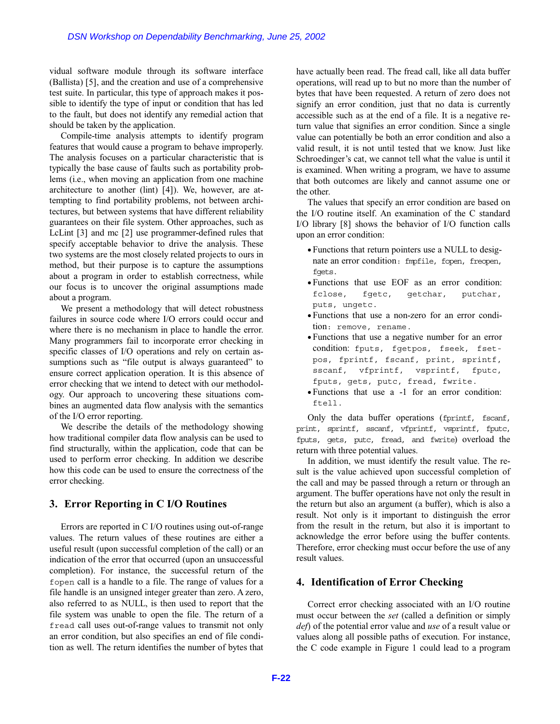vidual software module through its software interface (Ballista) [5], and the creation and use of a comprehensive test suite. In particular, this type of approach makes it possible to identify the type of input or condition that has led to the fault, but does not identify any remedial action that should be taken by the application.

Compile-time analysis attempts to identify program features that would cause a program to behave improperly. The analysis focuses on a particular characteristic that is typically the base cause of faults such as portability problems (i.e., when moving an application from one machine architecture to another (lint) [4]). We, however, are attempting to find portability problems, not between architectures, but between systems that have different reliability guarantees on their file system. Other approaches, such as LcLint [3] and mc [2] use programmer-defined rules that specify acceptable behavior to drive the analysis. These two systems are the most closely related projects to ours in method, but their purpose is to capture the assumptions about a program in order to establish correctness, while our focus is to uncover the original assumptions made about a program. DSN Workshop on Dependability Benchmarking, June 25, 2002<br>
al software module through its software interface<br>
and software module through its software interface<br>
and the creation and use of a compreshensive operation<br>
to

We present a methodology that will detect robustness failures in source code where I/O errors could occur and where there is no mechanism in place to handle the error. Many programmers fail to incorporate error checking in specific classes of I/O operations and rely on certain assumptions such as "file output is always guaranteed" to ensure correct application operation. It is this absence of error checking that we intend to detect with our methodology. Our approach to uncovering these situations combines an augmented data flow analysis with the semantics of the I/O error reporting.

We describe the details of the methodology showing how traditional compiler data flow analysis can be used to find structurally, within the application, code that can be used to perform error checking. In addition we describe how this code can be used to ensure the correctness of the error checking.

### **3. Error Reporting in C I/O Routines**

Errors are reported in C I/O routines using out-of-range values. The return values of these routines are either a useful result (upon successful completion of the call) or an indication of the error that occurred (upon an unsuccessful completion). For instance, the successful return of the fopen call is a handle to a file. The range of values for a file handle is an unsigned integer greater than zero. A zero, also referred to as NULL, is then used to report that the file system was unable to open the file. The return of a fread call uses out-of-range values to transmit not only an error condition, but also specifies an end of file condition as well. The return identifies the number of bytes that have actually been read. The fread call, like all data buffer operations, will read up to but no more than the number of bytes that have been requested. A return of zero does not signify an error condition, just that no data is currently accessible such as at the end of a file. It is a negative return value that signifies an error condition. Since a single value can potentially be both an error condition and also a valid result, it is not until tested that we know. Just like Schroedinger's cat, we cannot tell what the value is until it is examined. When writing a program, we have to assume that both outcomes are likely and cannot assume one or the other.

The values that specify an error condition are based on the I/O routine itself. An examination of the C standard I/O library [8] shows the behavior of I/O function calls upon an error condition:

- Functions that return pointers use a NULL to designate an error condition: fmpfile, fopen, freopen, fgets.
- Functions that use EOF as an error condition: fclose, fgetc, getchar, putchar, puts, ungetc.
- Functions that use a non-zero for an error condition: remove, rename.
- Functions that use a negative number for an error condition: fputs, fgetpos, fseek, fsetpos, fprintf, fscanf, print, sprintf, sscanf, vfprintf, vsprintf, fputc, fputs, gets, putc, fread, fwrite.
- Functions that use a -1 for an error condition: ftell.

Only the data buffer operations (fprintf, fscanf, print, sprintf, sscanf, vfprintf, vsprintf, fputc, fputs, gets, putc, fread, and fwrite) overload the return with three potential values.

In addition, we must identify the result value. The result is the value achieved upon successful completion of the call and may be passed through a return or through an argument. The buffer operations have not only the result in the return but also an argument (a buffer), which is also a result. Not only is it important to distinguish the error from the result in the return, but also it is important to acknowledge the error before using the buffer contents. Therefore, error checking must occur before the use of any result values.

### **4. Identification of Error Checking**

Correct error checking associated with an I/O routine must occur between the *set* (called a definition or simply *def*) of the potential error value and *use* of a result value or values along all possible paths of execution. For instance, the C code example in Figure 1 could lead to a program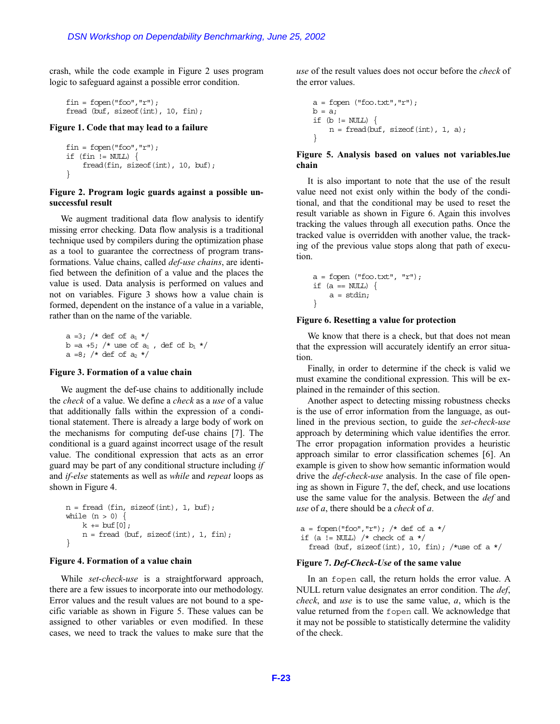crash, while the code example in Figure 2 uses program logic to safeguard against a possible error condition.

```
fin = fopen("foo", "r");fread (buf, sizeof(int), 10, fin);
```
#### **Figure 1. Code that may lead to a failure**

```
fin = fopen("foo", "r");if (fin != NULL) \{fread(fin, sizeof(int), 10, buf);
}
```
#### **Figure 2. Program logic guards against a possible unsuccessful result**

We augment traditional data flow analysis to identify missing error checking. Data flow analysis is a traditional technique used by compilers during the optimization phase as a tool to guarantee the correctness of program transformations. Value chains, called *def-use chains*, are identified between the definition of a value and the places the value is used. Data analysis is performed on values and not on variables. Figure 3 shows how a value chain is formed, dependent on the instance of a value in a variable, rather than on the name of the variable.

a =3; /\* def of  $a_1$  \*/  $b = a +5$ ; /\* use of  $a_1$ , def of  $b_1$  \*/ a =8; /\* def of a<sub>2</sub> \*/

#### **Figure 3. Formation of a value chain**

We augment the def-use chains to additionally include the *check* of a value. We define a *check* as a *use* of a value that additionally falls within the expression of a conditional statement. There is already a large body of work on the mechanisms for computing def-use chains [7]. The conditional is a guard against incorrect usage of the result value. The conditional expression that acts as an error guard may be part of any conditional structure including *if* and *if-else* statements as well as *while* and *repeat* loops as shown in Figure 4. DSN Workshop on Dependability Benchmarking, June 25, 2002<br> **F-23** while the code example in Figure 2 uses program<br>
to a consignant against a possible error condition.<br>
the cross of the stress of the cross of the cross of

```
n = \text{freqd (fin, sizeof(int), 1, but)};
while (n > 0)k + = but [0];n = \text{freqd} (buf, size of (int), 1, fin);
}
```
#### **Figure 4. Formation of a value chain**

While *set-check-use* is a straightforward approach, there are a few issues to incorporate into our methodology. Error values and the result values are not bound to a specific variable as shown in Figure 5. These values can be assigned to other variables or even modified. In these cases, we need to track the values to make sure that the *use* of the result values does not occur before the *check* of the error values.

```
a = fopen ("foo.txt", "r");
b = a;if (b := NULL) {
     n = \text{freq}(\text{buf}, \text{sizeof}(\text{int}), 1, a);}
```
### **Figure 5. Analysis based on values not variables.lue chain**

It is also important to note that the use of the result value need not exist only within the body of the conditional, and that the conditional may be used to reset the result variable as shown in Figure 6. Again this involves tracking the values through all execution paths. Once the tracked value is overridden with another value, the tracking of the previous value stops along that path of execution.

```
a = fopen ("foo.txt", "r");
if (a == NUL) {
    a = stdin:
}
```
#### **Figure 6. Resetting a value for protection**

We know that there is a check, but that does not mean that the expression will accurately identify an error situation.

Finally, in order to determine if the check is valid we must examine the conditional expression. This will be explained in the remainder of this section.

Another aspect to detecting missing robustness checks is the use of error information from the language, as outlined in the previous section, to guide the *set-check-use* approach by determining which value identifies the error. The error propagation information provides a heuristic approach similar to error classification schemes [6]. An example is given to show how semantic information would drive the *def-check-use* analysis. In the case of file opening as shown in Figure 7, the def, check, and use locations use the same value for the analysis. Between the *def* and *use* of *a*, there should be a *check* of *a*.

```
a = fopen("foo", "r"); /* def of a */
if (a != NUL) /* check of a */
 fread (buf, sizeof(int), 10, fin); /*use of a */
```
#### **Figure 7.** *Def-Check-Use* **of the same value**

In an fopen call, the return holds the error value. A NULL return value designates an error condition. The *def*, *check*, and *use* is to use the same value, *a*, which is the value returned from the fopen call. We acknowledge that it may not be possible to statistically determine the validity of the check.